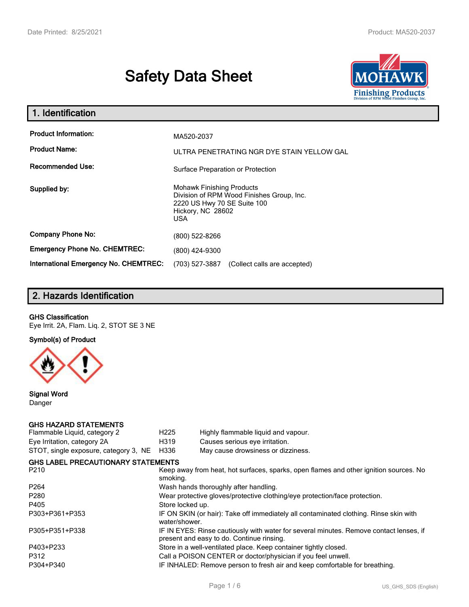# **Safety Data Sheet**



| 1. Identification                                   |                                                                                                                                                 |
|-----------------------------------------------------|-------------------------------------------------------------------------------------------------------------------------------------------------|
| <b>Product Information:</b><br><b>Product Name:</b> | MA520-2037<br>ULTRA PENETRATING NGR DYE STAIN YELLOW GAL                                                                                        |
| <b>Recommended Use:</b>                             | Surface Preparation or Protection                                                                                                               |
| Supplied by:                                        | <b>Mohawk Finishing Products</b><br>Division of RPM Wood Finishes Group, Inc.<br>2220 US Hwy 70 SE Suite 100<br>Hickory, NC 28602<br><b>USA</b> |
| <b>Company Phone No:</b>                            | (800) 522-8266                                                                                                                                  |
| <b>Emergency Phone No. CHEMTREC:</b>                | (800) 424-9300                                                                                                                                  |
| <b>International Emergency No. CHEMTREC:</b>        | (703) 527-3887<br>(Collect calls are accepted)                                                                                                  |

# **2. Hazards Identification**

### **GHS Classification**

Eye Irrit. 2A, Flam. Liq. 2, STOT SE 3 NE

**Symbol(s) of Product**



**Signal Word** Danger

### **GHS HAZARD STATEMENTS**

| H <sub>225</sub>                                                                                                                    | Highly flammable liquid and vapour.                                                   |  |
|-------------------------------------------------------------------------------------------------------------------------------------|---------------------------------------------------------------------------------------|--|
| H319                                                                                                                                | Causes serious eye irritation.                                                        |  |
| H336                                                                                                                                | May cause drowsiness or dizziness.                                                    |  |
|                                                                                                                                     |                                                                                       |  |
| smoking.                                                                                                                            | Keep away from heat, hot surfaces, sparks, open flames and other ignition sources. No |  |
|                                                                                                                                     | Wash hands thoroughly after handling.                                                 |  |
| Wear protective gloves/protective clothing/eye protection/face protection.                                                          |                                                                                       |  |
| Store locked up.                                                                                                                    |                                                                                       |  |
| IF ON SKIN (or hair): Take off immediately all contaminated clothing. Rinse skin with<br>water/shower.                              |                                                                                       |  |
| IF IN EYES: Rinse cautiously with water for several minutes. Remove contact lenses, if<br>present and easy to do. Continue rinsing. |                                                                                       |  |
|                                                                                                                                     | Store in a well-ventilated place. Keep container tightly closed.                      |  |
|                                                                                                                                     | Call a POISON CENTER or doctor/physician if you feel unwell.                          |  |
| IF INHALED: Remove person to fresh air and keep comfortable for breathing.                                                          |                                                                                       |  |
|                                                                                                                                     | <b>GHS LABEL PRECAUTIONARY STATEMENTS</b>                                             |  |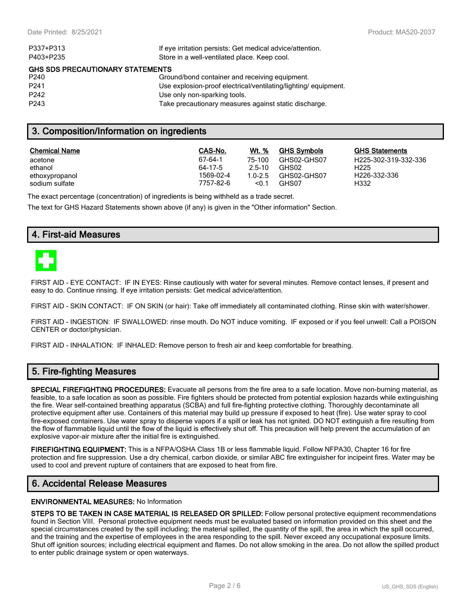**GHS Statements** H225-302-319-332-336

H226-332-336

| P337+P313                               | If eye irritation persists: Get medical advice/attention.      |  |  |  |
|-----------------------------------------|----------------------------------------------------------------|--|--|--|
| P403+P235                               | Store in a well-ventilated place. Keep cool.                   |  |  |  |
| <b>GHS SDS PRECAUTIONARY STATEMENTS</b> |                                                                |  |  |  |
| P240                                    | Ground/bond container and receiving equipment.                 |  |  |  |
| P <sub>241</sub>                        | Use explosion-proof electrical/ventilating/lighting/equipment. |  |  |  |
| P <sub>242</sub>                        | Use only non-sparking tools.                                   |  |  |  |
| P <sub>243</sub>                        | Take precautionary measures against static discharge.          |  |  |  |
|                                         |                                                                |  |  |  |

# **3. Composition/Information on ingredients**

| Chemical Name  | CAS-No.   | Wt. %       | <b>GHS Symbols</b> | GHS  |
|----------------|-----------|-------------|--------------------|------|
| acetone        | 67-64-1   | 75-100      | GHS02-GHS07        | H225 |
| ethanol        | 64-17-5   | $2.5 - 10$  | GHS02              | H225 |
| ethoxypropanol | 1569-02-4 | $1.0 - 2.5$ | GHS02-GHS07        | H226 |
| sodium sulfate | 7757-82-6 | < 0.1       | GHS07              | H332 |

The exact percentage (concentration) of ingredients is being withheld as a trade secret.

The text for GHS Hazard Statements shown above (if any) is given in the "Other information" Section.

# **4. First-aid Measures**



FIRST AID - EYE CONTACT: IF IN EYES: Rinse cautiously with water for several minutes. Remove contact lenses, if present and easy to do. Continue rinsing. If eye irritation persists: Get medical advice/attention.

FIRST AID - SKIN CONTACT: IF ON SKIN (or hair): Take off immediately all contaminated clothing. Rinse skin with water/shower.

FIRST AID - INGESTION: IF SWALLOWED: rinse mouth. Do NOT induce vomiting. IF exposed or if you feel unwell: Call a POISON CENTER or doctor/physician.

FIRST AID - INHALATION: IF INHALED: Remove person to fresh air and keep comfortable for breathing.

### **5. Fire-fighting Measures**

**SPECIAL FIREFIGHTING PROCEDURES:** Evacuate all persons from the fire area to a safe location. Move non-burning material, as feasible, to a safe location as soon as possible. Fire fighters should be protected from potential explosion hazards while extinguishing the fire. Wear self-contained breathing apparatus (SCBA) and full fire-fighting protective clothing. Thoroughly decontaminate all protective equipment after use. Containers of this material may build up pressure if exposed to heat (fire). Use water spray to cool fire-exposed containers. Use water spray to disperse vapors if a spill or leak has not ignited. DO NOT extinguish a fire resulting from the flow of flammable liquid until the flow of the liquid is effectively shut off. This precaution will help prevent the accumulation of an explosive vapor-air mixture after the initial fire is extinguished.

**FIREFIGHTING EQUIPMENT:** This is a NFPA/OSHA Class 1B or less flammable liquid. Follow NFPA30, Chapter 16 for fire protection and fire suppression. Use a dry chemical, carbon dioxide, or similar ABC fire extinguisher for incipeint fires. Water may be used to cool and prevent rupture of containers that are exposed to heat from fire.

# **6. Accidental Release Measures**

#### **ENVIRONMENTAL MEASURES:** No Information

**STEPS TO BE TAKEN IN CASE MATERIAL IS RELEASED OR SPILLED:** Follow personal protective equipment recommendations found in Section VIII. Personal protective equipment needs must be evaluated based on information provided on this sheet and the special circumstances created by the spill including; the material spilled, the quantity of the spill, the area in which the spill occurred, and the training and the expertise of employees in the area responding to the spill. Never exceed any occupational exposure limits. Shut off ignition sources; including electrical equipment and flames. Do not allow smoking in the area. Do not allow the spilled product to enter public drainage system or open waterways.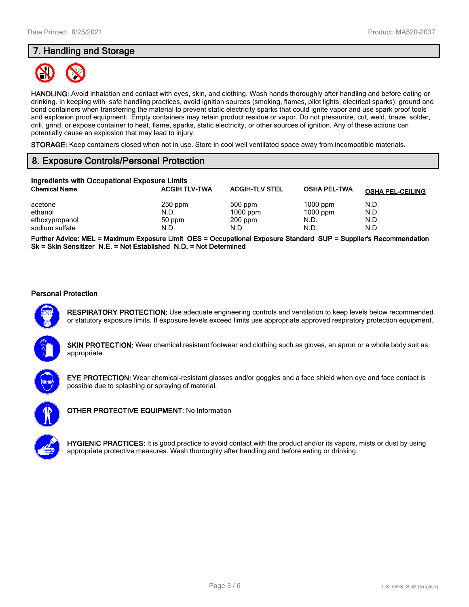# **7. Handling and Storage**



**HANDLING:** Avoid inhalation and contact with eyes, skin, and clothing. Wash hands thoroughly after handling and before eating or drinking. In keeping with safe handling practices, avoid ignition sources (smoking, flames, pilot lights, electrical sparks); ground and bond containers when transferring the material to prevent static electricity sparks that could ignite vapor and use spark proof tools and explosion proof equipment. Empty containers may retain product residue or vapor. Do not pressurize, cut, weld, braze, solder, drill, grind, or expose container to heat, flame, sparks, static electricity, or other sources of ignition. Any of these actions can potentially cause an explosion that may lead to injury.

**STORAGE:** Keep containers closed when not in use. Store in cool well ventilated space away from incompatible materials.

# **8. Exposure Controls/Personal Protection**

| Ingredients with Occupational Exposure Limits          |                                     |                                              |                                          |                              |
|--------------------------------------------------------|-------------------------------------|----------------------------------------------|------------------------------------------|------------------------------|
| <b>Chemical Name</b>                                   | <b>ACGIH TLV-TWA</b>                | <b>ACGIH-TLV STEL</b>                        | <b>OSHA PEL-TWA</b>                      | <b>OSHA PEL-CEILING</b>      |
| acetone<br>ethanol<br>ethoxypropanol<br>sodium sulfate | $250$ ppm<br>N.D.<br>50 ppm<br>N.D. | $500$ ppm<br>$1000$ ppm<br>$200$ ppm<br>N.D. | $1000$ ppm<br>$1000$ ppm<br>N.D.<br>N.D. | N.D.<br>N.D.<br>N.D.<br>N.D. |

**Further Advice: MEL = Maximum Exposure Limit OES = Occupational Exposure Standard SUP = Supplier's Recommendation Sk = Skin Sensitizer N.E. = Not Established N.D. = Not Determined**

### **Personal Protection**



**RESPIRATORY PROTECTION:** Use adequate engineering controls and ventilation to keep levels below recommended or statutory exposure limits. If exposure levels exceed limits use appropriate approved respiratory protection equipment.

**SKIN PROTECTION:** Wear chemical resistant footwear and clothing such as gloves, an apron or a whole body suit as appropriate.



**EYE PROTECTION:** Wear chemical-resistant glasses and/or goggles and a face shield when eye and face contact is possible due to splashing or spraying of material.



**OTHER PROTECTIVE EQUIPMENT:** No Information



**HYGIENIC PRACTICES:** It is good practice to avoid contact with the product and/or its vapors, mists or dust by using appropriate protective measures. Wash thoroughly after handling and before eating or drinking.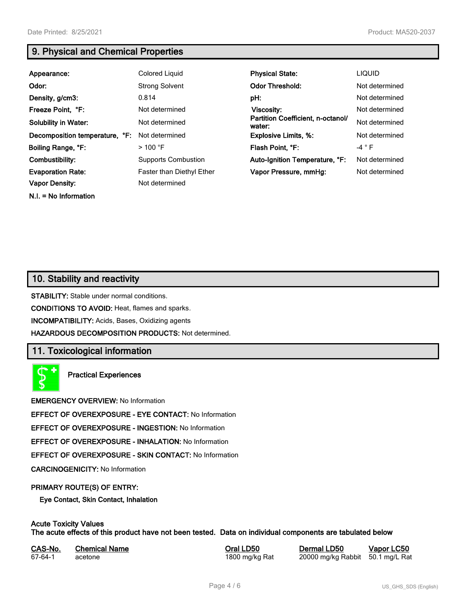**N.I. = No Information**

# **9. Physical and Chemical Properties**

| Appearance:                    | Colored Liquid                   | <b>Physical State:</b>                      | <b>LIQUID</b>  |
|--------------------------------|----------------------------------|---------------------------------------------|----------------|
| Odor:                          | <b>Strong Solvent</b>            | <b>Odor Threshold:</b>                      | Not determined |
| Density, g/cm3:                | 0.814                            | pH:                                         | Not determined |
| Freeze Point, °F:              | Not determined                   | Viscosity:                                  | Not determined |
| <b>Solubility in Water:</b>    | Not determined                   | Partition Coefficient, n-octanol/<br>water: | Not determined |
| Decomposition temperature, °F: | Not determined                   | <b>Explosive Limits, %:</b>                 | Not determined |
| Boiling Range, °F:             | $>$ 100 °F                       | Flash Point, °F:                            | $-4$ $\circ$ F |
| Combustibility:                | <b>Supports Combustion</b>       | Auto-Ignition Temperature, °F:              | Not determined |
| <b>Evaporation Rate:</b>       | <b>Faster than Diethyl Ether</b> | Vapor Pressure, mmHg:                       | Not determined |
| <b>Vapor Density:</b>          | Not determined                   |                                             |                |

# **10. Stability and reactivity**

**STABILITY:** Stable under normal conditions.

**CONDITIONS TO AVOID:** Heat, flames and sparks.

**INCOMPATIBILITY:** Acids, Bases, Oxidizing agents

**HAZARDOUS DECOMPOSITION PRODUCTS:** Not determined.

# **11. Toxicological information**

**Practical Experiences**

**EMERGENCY OVERVIEW:** No Information

**EFFECT OF OVEREXPOSURE - EYE CONTACT:** No Information

**EFFECT OF OVEREXPOSURE - INGESTION:** No Information

**EFFECT OF OVEREXPOSURE - INHALATION:** No Information

**EFFECT OF OVEREXPOSURE - SKIN CONTACT:** No Information

**CARCINOGENICITY:** No Information

### **PRIMARY ROUTE(S) OF ENTRY:**

**Eye Contact, Skin Contact, Inhalation**

# **Acute Toxicity Values**

**The acute effects of this product have not been tested. Data on individual components are tabulated below**

| CAS-No. | <b>Chemical Name</b> |
|---------|----------------------|
| 67-64-1 | acetone              |

**Casary Chemical Chemical LD50 Chemical LD50 Vapor LC50** 1800 mg/kg Rat 20000 mg/kg Rabbit 50.1 mg/L Rat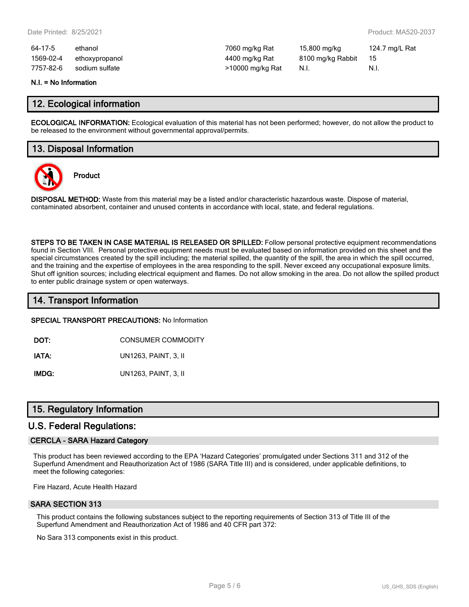| 64-17-5   | ethanol        | 7060 mg/kg Rat   | 15,800 mg/kg      | 124.7 mg/L Rat |
|-----------|----------------|------------------|-------------------|----------------|
| 1569-02-4 | ethoxypropanol | 4400 mg/kg Rat   | 8100 mg/kg Rabbit | - 15           |
| 7757-82-6 | sodium sulfate | >10000 mg/kg Rat | - N.I.            | - N.I.         |

#### **N.I. = No Information**

### **12. Ecological information**

**ECOLOGICAL INFORMATION:** Ecological evaluation of this material has not been performed; however, do not allow the product to be released to the environment without governmental approval/permits.

# **13. Disposal Information**



**Product**

**DISPOSAL METHOD:** Waste from this material may be a listed and/or characteristic hazardous waste. Dispose of material, contaminated absorbent, container and unused contents in accordance with local, state, and federal regulations.

**STEPS TO BE TAKEN IN CASE MATERIAL IS RELEASED OR SPILLED:** Follow personal protective equipment recommendations found in Section VIII. Personal protective equipment needs must be evaluated based on information provided on this sheet and the special circumstances created by the spill including; the material spilled, the quantity of the spill, the area in which the spill occurred, and the training and the expertise of employees in the area responding to the spill. Never exceed any occupational exposure limits. Shut off ignition sources; including electrical equipment and flames. Do not allow smoking in the area. Do not allow the spilled product to enter public drainage system or open waterways.

# **14. Transport Information**

#### **SPECIAL TRANSPORT PRECAUTIONS:** No Information

**DOT:** CONSUMER COMMODITY

**IATA:** UN1263, PAINT, 3, II

**IMDG:** UN1263, PAINT, 3, II

### **15. Regulatory Information**

### **U.S. Federal Regulations:**

### **CERCLA - SARA Hazard Category**

This product has been reviewed according to the EPA 'Hazard Categories' promulgated under Sections 311 and 312 of the Superfund Amendment and Reauthorization Act of 1986 (SARA Title III) and is considered, under applicable definitions, to meet the following categories:

Fire Hazard, Acute Health Hazard

#### **SARA SECTION 313**

This product contains the following substances subject to the reporting requirements of Section 313 of Title III of the Superfund Amendment and Reauthorization Act of 1986 and 40 CFR part 372:

No Sara 313 components exist in this product.